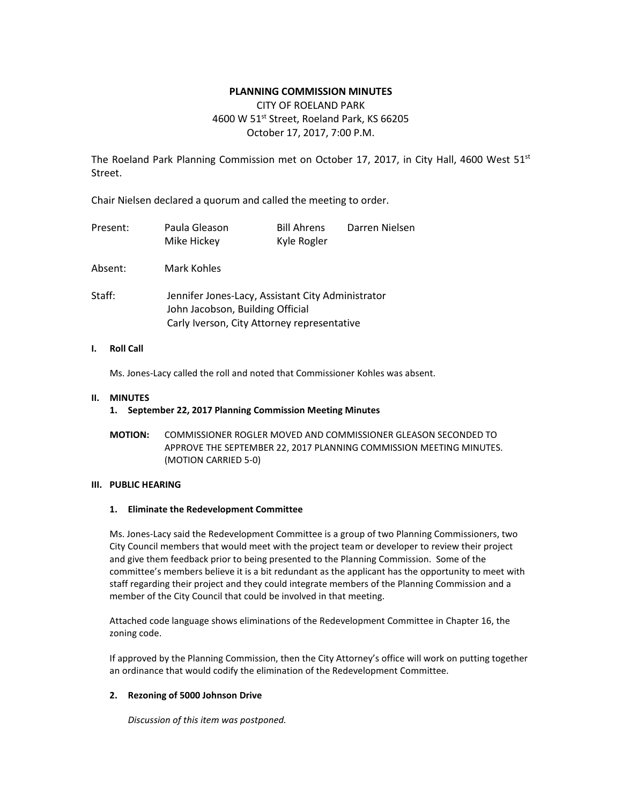## **PLANNING COMMISSION MINUTES**

# CITY OF ROELAND PARK 4600 W 51<sup>st</sup> Street, Roeland Park, KS 66205 October 17, 2017, 7:00 P.M.

The Roeland Park Planning Commission met on October 17, 2017, in City Hall, 4600 West  $51^{st}$ Street.

Chair Nielsen declared a quorum and called the meeting to order.

| Present: | Paula Gleason<br>Mike Hickey                                                                                                         | <b>Bill Ahrens</b><br>Kyle Rogler | Darren Nielsen |
|----------|--------------------------------------------------------------------------------------------------------------------------------------|-----------------------------------|----------------|
| Absent:  | Mark Kohles                                                                                                                          |                                   |                |
| Staff:   | Jennifer Jones-Lacy, Assistant City Administrator<br>John Jacobson, Building Official<br>Carly Iverson, City Attorney representative |                                   |                |

## **I. Roll Call**

Ms. Jones-Lacy called the roll and noted that Commissioner Kohles was absent.

#### **II. MINUTES**

## **1. September 22, 2017 Planning Commission Meeting Minutes**

**MOTION:** COMMISSIONER ROGLER MOVED AND COMMISSIONER GLEASON SECONDED TO APPROVE THE SEPTEMBER 22, 2017 PLANNING COMMISSION MEETING MINUTES. (MOTION CARRIED 5-0)

## **III. PUBLIC HEARING**

#### **1. Eliminate the Redevelopment Committee**

Ms. Jones-Lacy said the Redevelopment Committee is a group of two Planning Commissioners, two City Council members that would meet with the project team or developer to review their project and give them feedback prior to being presented to the Planning Commission. Some of the committee's members believe it is a bit redundant as the applicant has the opportunity to meet with staff regarding their project and they could integrate members of the Planning Commission and a member of the City Council that could be involved in that meeting.

Attached code language shows eliminations of the Redevelopment Committee in Chapter 16, the zoning code.

If approved by the Planning Commission, then the City Attorney's office will work on putting together an ordinance that would codify the elimination of the Redevelopment Committee.

## **2. Rezoning of 5000 Johnson Drive**

*Discussion of this item was postponed.*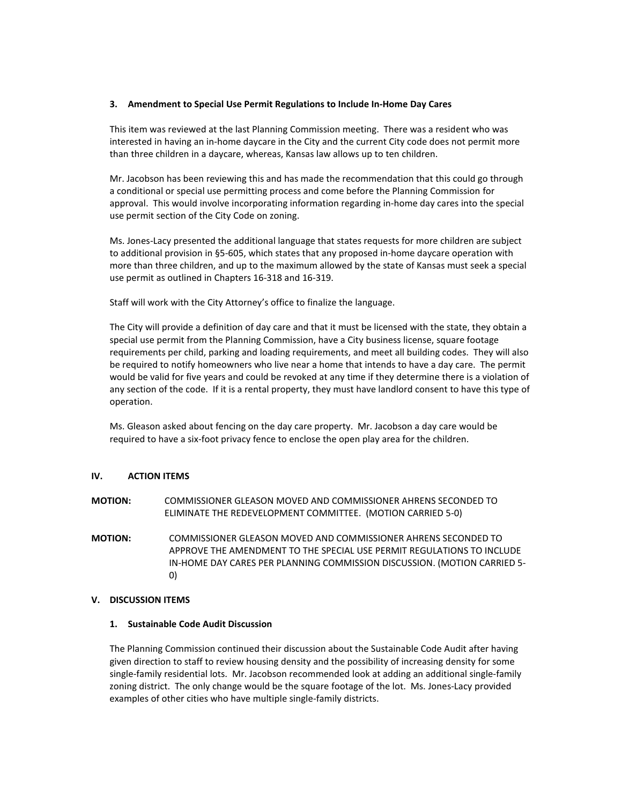## **3. Amendment to Special Use Permit Regulations to Include In-Home Day Cares**

This item was reviewed at the last Planning Commission meeting. There was a resident who was interested in having an in-home daycare in the City and the current City code does not permit more than three children in a daycare, whereas, Kansas law allows up to ten children.

Mr. Jacobson has been reviewing this and has made the recommendation that this could go through a conditional or special use permitting process and come before the Planning Commission for approval. This would involve incorporating information regarding in-home day cares into the special use permit section of the City Code on zoning.

Ms. Jones-Lacy presented the additional language that states requests for more children are subject to additional provision in §5-605, which states that any proposed in-home daycare operation with more than three children, and up to the maximum allowed by the state of Kansas must seek a special use permit as outlined in Chapters 16-318 and 16-319.

Staff will work with the City Attorney's office to finalize the language.

The City will provide a definition of day care and that it must be licensed with the state, they obtain a special use permit from the Planning Commission, have a City business license, square footage requirements per child, parking and loading requirements, and meet all building codes. They will also be required to notify homeowners who live near a home that intends to have a day care. The permit would be valid for five years and could be revoked at any time if they determine there is a violation of any section of the code. If it is a rental property, they must have landlord consent to have this type of operation.

Ms. Gleason asked about fencing on the day care property. Mr. Jacobson a day care would be required to have a six-foot privacy fence to enclose the open play area for the children.

## **IV. ACTION ITEMS**

**MOTION:** COMMISSIONER GLEASON MOVED AND COMMISSIONER AHRENS SECONDED TO ELIMINATE THE REDEVELOPMENT COMMITTEE. (MOTION CARRIED 5-0)

**MOTION:** COMMISSIONER GLEASON MOVED AND COMMISSIONER AHRENS SECONDED TO APPROVE THE AMENDMENT TO THE SPECIAL USE PERMIT REGULATIONS TO INCLUDE IN-HOME DAY CARES PER PLANNING COMMISSION DISCUSSION. (MOTION CARRIED 5- 0)

#### **V. DISCUSSION ITEMS**

#### **1. Sustainable Code Audit Discussion**

The Planning Commission continued their discussion about the Sustainable Code Audit after having given direction to staff to review housing density and the possibility of increasing density for some single-family residential lots. Mr. Jacobson recommended look at adding an additional single-family zoning district. The only change would be the square footage of the lot. Ms. Jones-Lacy provided examples of other cities who have multiple single-family districts.